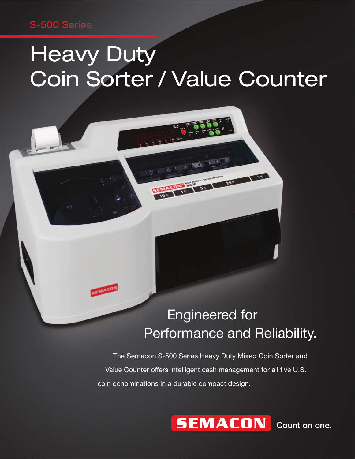### S-500 Series

SEMACON

# **Heavy Duty** Coin Sorter / Value Counter

## Engineered for Performance and Reliability.

 $\overline{\mathbf{e}}$ 

 The Semacon S-500 Series Heavy Duty Mixed Coin Sorter and Value Counter offers intelligent cash management for all five U.S. coin denominations in a durable compact design.



Count on one.